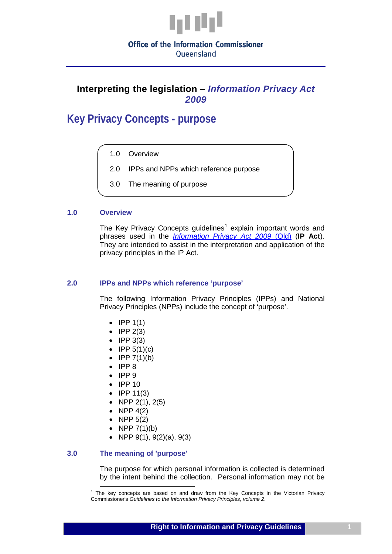

Oueensland

# **Interpreting the legislation –** *Information Privacy Act 2009*

**Key Privacy Concepts - purpose**

- 1.0 Overview
- 2.0 IPPs and NPPs which reference purpose
- 3.0 The meaning of purpose

## **1.0 Overview**

The Key Privacy Concepts quidelines<sup>[1](#page-1-0)</sup> explain important words and phrases used in the *[Information Privacy Act 2009](http://www.legislation.qld.gov.au/LEGISLTN/CURRENT/I/InfoPrivA09.pdf)* (Qld) (**IP Act**). They are intended to assist in the interpretation and application of the privacy principles in the IP Act.

#### **2.0 IPPs and NPPs which reference 'purpose'**

The following Information Privacy Principles (IPPs) and National Privacy Principles (NPPs) include the concept of 'purpose'.

- IPP  $1(1)$
- $\bullet$  IPP 2(3)
- IPP 3(3)
- $\bullet$  IPP 5(1)(c)
- $\bullet$  IPP 7(1)(b)
- IPP 8
- IPP 9
- IPP 10
- IPP 11(3)
- NPP  $2(1)$ ,  $2(5)$
- NPP  $4(2)$
- NPP  $5(2)$
- NPP  $7(1)(b)$
- NPP 9(1), 9(2)(a), 9(3)

## **3.0 The meaning of 'purpose'**

The purpose for which personal information is collected is determined by the intent behind the collection. Personal information may not be

 $<sup>1</sup>$  The key concepts are based on and draw from the Key Concepts in the Victorian Privacy</sup> Commissioner's *Guidelines to the Information Privacy Principles, volume 2*.